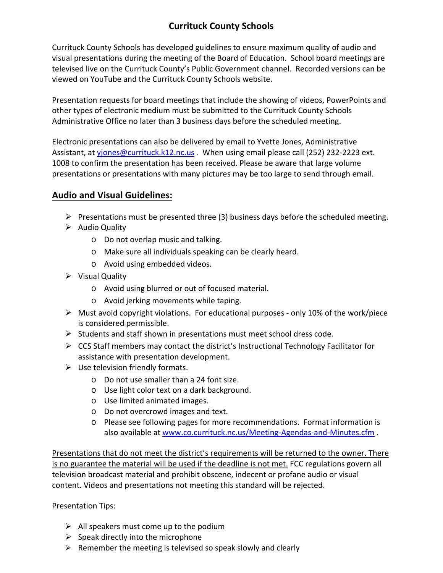## **Currituck County Schools**

Currituck County Schools has developed guidelines to ensure maximum quality of audio and visual presentations during the meeting of the Board of Education. School board meetings are televised live on the Currituck County's Public Government channel. Recorded versions can be viewed on YouTube and the Currituck County Schools website.

Presentation requests for board meetings that include the showing of videos, PowerPoints and other types of electronic medium must be submitted to the Currituck County Schools Administrative Office no later than 3 business days before the scheduled meeting.

Electronic presentations can also be delivered by email to Yvette Jones, Administrative Assistant, at yjones@currituck.k12.nc.us . When using email please call (252) 232-2223 ext. 1008 to confirm the presentation has been received. Please be aware that large volume presentations or presentations with many pictures may be too large to send through email.

## **Audio and Visual Guidelines:**

- $\triangleright$  Presentations must be presented three (3) business days before the scheduled meeting.
- $\triangleright$  Audio Quality
	- o Do not overlap music and talking.
	- o Make sure all individuals speaking can be clearly heard.
	- o Avoid using embedded videos.
- $\triangleright$  Visual Quality
	- o Avoid using blurred or out of focused material.
	- o Avoid jerking movements while taping.
- $\triangleright$  Must avoid copyright violations. For educational purposes only 10% of the work/piece is considered permissible.
- $\triangleright$  Students and staff shown in presentations must meet school dress code.
- $\triangleright$  CCS Staff members may contact the district's Instructional Technology Facilitator for assistance with presentation development.
- $\triangleright$  Use television friendly formats.
	- o Do not use smaller than a 24 font size.
	- o Use light color text on a dark background.
	- o Use limited animated images.
	- o Do not overcrowd images and text.
	- o Please see following pages for more recommendations. Format information is also available at www.co.currituck.nc.us/Meeting‐Agendas‐and‐Minutes.cfm .

Presentations that do not meet the district's requirements will be returned to the owner. There is no guarantee the material will be used if the deadline is not met. FCC regulations govern all television broadcast material and prohibit obscene, indecent or profane audio or visual content. Videos and presentations not meeting this standard will be rejected.

Presentation Tips:

- $\triangleright$  All speakers must come up to the podium
- $\triangleright$  Speak directly into the microphone
- $\triangleright$  Remember the meeting is televised so speak slowly and clearly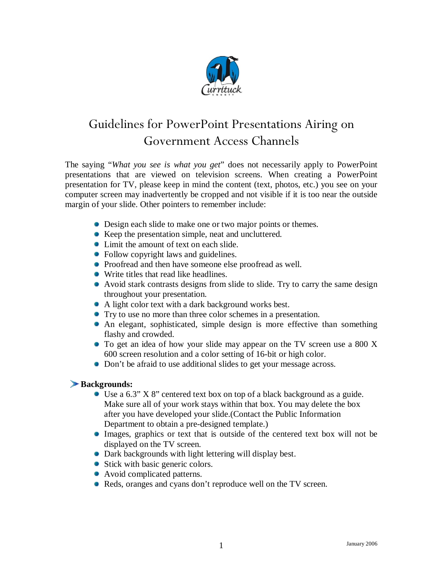

# Guidelines for PowerPoint Presentations Airing on Government Access Channels

The saying "*What you see is what you get*" does not necessarily apply to PowerPoint presentations that are viewed on television screens. When creating a PowerPoint presentation for TV, please keep in mind the content (text, photos, etc.) you see on your computer screen may inadvertently be cropped and not visible if it is too near the outside margin of your slide. Other pointers to remember include:

- Design each slide to make one or two major points or themes.
- Keep the presentation simple, neat and uncluttered.
- Limit the amount of text on each slide.
- Follow copyright laws and guidelines.
- Proofread and then have someone else proofread as well.
- Write titles that read like headlines.
- Avoid stark contrasts designs from slide to slide. Try to carry the same design throughout your presentation.
- A light color text with a dark background works best.
- Try to use no more than three color schemes in a presentation.
- An elegant, sophisticated, simple design is more effective than something flashy and crowded.
- To get an idea of how your slide may appear on the TV screen use a 800 X 600 screen resolution and a color setting of 16-bit or high color.
- Don't be afraid to use additional slides to get your message across.

#### **Backgrounds:**

- Use a 6.3" X 8" centered text box on top of a black background as a guide. Make sure all of your work stays within that box. You may delete the box after you have developed your slide.(Contact the Public Information Department to obtain a pre-designed template.)
- Images, graphics or text that is outside of the centered text box will not be displayed on the TV screen.
- Dark backgrounds with light lettering will display best.
- Stick with basic generic colors.
- Avoid complicated patterns.
- Reds, oranges and cyans don't reproduce well on the TV screen.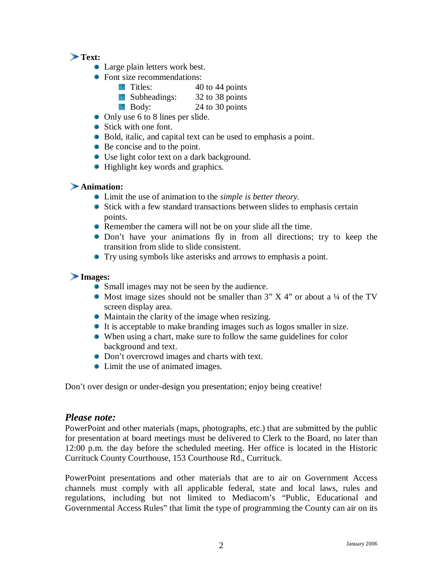### **Text:**

- Large plain letters work best.
- Font size recommendations:
	- $\blacksquare$  Titles:  $40 \text{ to } 44 \text{ points}$
	- Subheadings: 32 to 38 points
	- Body: 24 to 30 points
- Only use 6 to 8 lines per slide.
- Stick with one font.
- Bold, italic, and capital text can be used to emphasis a point.
- Be concise and to the point.
- Use light color text on a dark background.
- Highlight key words and graphics.

#### **Animation:**

- Limit the use of animation to the *simple is better theory.*
- Stick with a few standard transactions between slides to emphasis certain points.
- Remember the camera will not be on your slide all the time.
- Don't have your animations fly in from all directions; try to keep the transition from slide to slide consistent.
- Try using symbols like asterisks and arrows to emphasis a point.

#### **Images:**

- Small images may not be seen by the audience.
- Most image sizes should not be smaller than  $3'' X 4''$  or about a ¼ of the TV screen display area.
- Maintain the clarity of the image when resizing.
- It is acceptable to make branding images such as logos smaller in size.
- When using a chart, make sure to follow the same guidelines for color background and text.
- Don't overcrowd images and charts with text.
- Limit the use of animated images.

Don't over design or under-design you presentation; enjoy being creative!

#### *Please note:*

PowerPoint and other materials (maps, photographs, etc.) that are submitted by the public for presentation at board meetings must be delivered to Clerk to the Board, no later than 12:00 p.m. the day before the scheduled meeting. Her office is located in the Historic Currituck County Courthouse, 153 Courthouse Rd., Currituck.

PowerPoint presentations and other materials that are to air on Government Access channels must comply with all applicable federal, state and local laws, rules and regulations, including but not limited to Mediacom's "Public, Educational and Governmental Access Rules" that limit the type of programming the County can air on its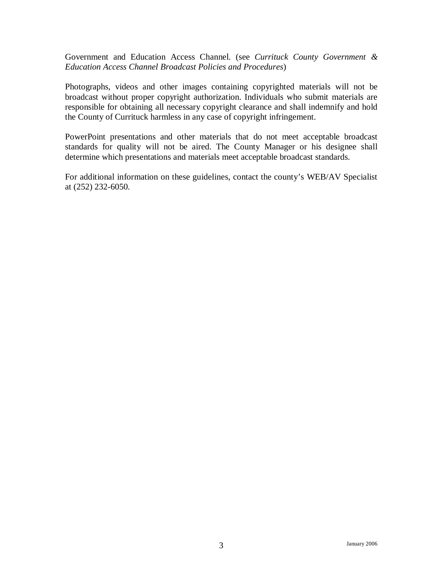Government and Education Access Channel. (see *Currituck County Government & Education Access Channel Broadcast Policies and Procedures*)

Photographs, videos and other images containing copyrighted materials will not be broadcast without proper copyright authorization. Individuals who submit materials are responsible for obtaining all necessary copyright clearance and shall indemnify and hold the County of Currituck harmless in any case of copyright infringement.

PowerPoint presentations and other materials that do not meet acceptable broadcast standards for quality will not be aired. The County Manager or his designee shall determine which presentations and materials meet acceptable broadcast standards.

For additional information on these guidelines, contact the county's WEB/AV Specialist at (252) 232-6050.